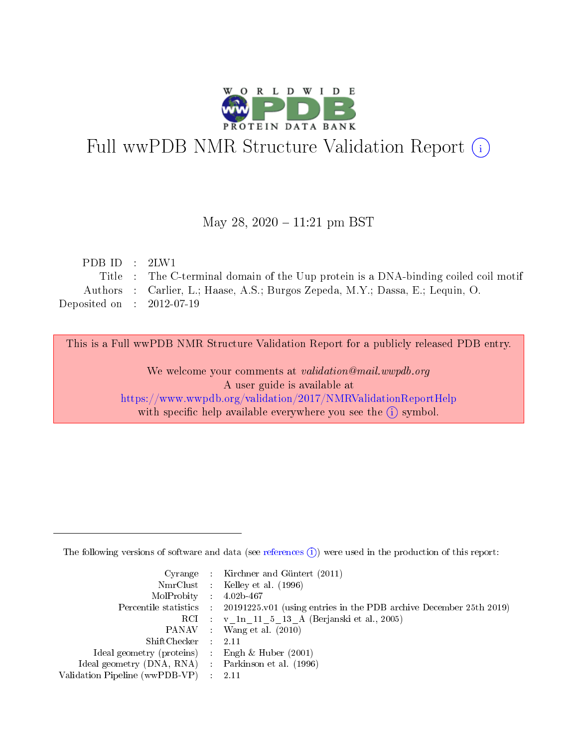

# Full wwPDB NMR Structure Validation Report (i)

#### May 28, 2020 - 11:21 pm BST

| PDB ID : $2LW1$             |                                                                                     |
|-----------------------------|-------------------------------------------------------------------------------------|
|                             | Title : The C-terminal domain of the Uup protein is a DNA-binding coiled coil motif |
|                             | Authors : Carlier, L.; Haase, A.S.; Burgos Zepeda, M.Y.; Dassa, E.; Lequin, O.      |
| Deposited on : $2012-07-19$ |                                                                                     |

This is a Full wwPDB NMR Structure Validation Report for a publicly released PDB entry.

We welcome your comments at validation@mail.wwpdb.org A user guide is available at <https://www.wwpdb.org/validation/2017/NMRValidationReportHelp> with specific help available everywhere you see the  $(i)$  symbol.

The following versions of software and data (see [references](https://www.wwpdb.org/validation/2017/NMRValidationReportHelp#references)  $(1)$ ) were used in the production of this report:

|                                                    | Cyrange : Kirchner and Güntert $(2011)$                                                    |
|----------------------------------------------------|--------------------------------------------------------------------------------------------|
|                                                    | NmrClust : Kelley et al. (1996)                                                            |
| $MolProbability$ 4.02b-467                         |                                                                                            |
|                                                    | Percentile statistics : 20191225.v01 (using entries in the PDB archive December 25th 2019) |
|                                                    | RCI : v 1n 11 5 13 A (Berjanski et al., 2005)                                              |
|                                                    | PANAV Wang et al. (2010)                                                                   |
| $ShiftChecker$ : 2.11                              |                                                                                            |
| Ideal geometry (proteins) : Engh $\&$ Huber (2001) |                                                                                            |
| Ideal geometry (DNA, RNA) Parkinson et al. (1996)  |                                                                                            |
| Validation Pipeline (wwPDB-VP)                     | 2.11                                                                                       |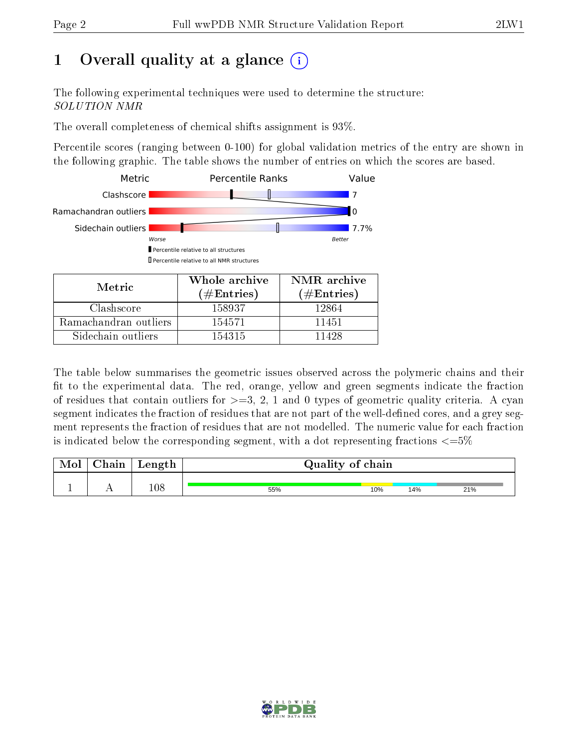# 1 [O](https://www.wwpdb.org/validation/2017/NMRValidationReportHelp#overall_quality)verall quality at a glance (i)

The following experimental techniques were used to determine the structure: SOLUTION NMR

The overall completeness of chemical shifts assignment is 93%.

Percentile scores (ranging between 0-100) for global validation metrics of the entry are shown in the following graphic. The table shows the number of entries on which the scores are based.



The table below summarises the geometric issues observed across the polymeric chains and their fit to the experimental data. The red, orange, yellow and green segments indicate the fraction of residues that contain outliers for  $>=$  3, 2, 1 and 0 types of geometric quality criteria. A cyan segment indicates the fraction of residues that are not part of the well-defined cores, and a grey segment represents the fraction of residues that are not modelled. The numeric value for each fraction is indicated below the corresponding segment, with a dot representing fractions  $\epsilon = 5\%$ 

| Mol | ${\bf Chain}$ | Length | Quality of chain |     |     |     |
|-----|---------------|--------|------------------|-----|-----|-----|
|     |               | 108    | 55%              | 10% | 14% | 21% |

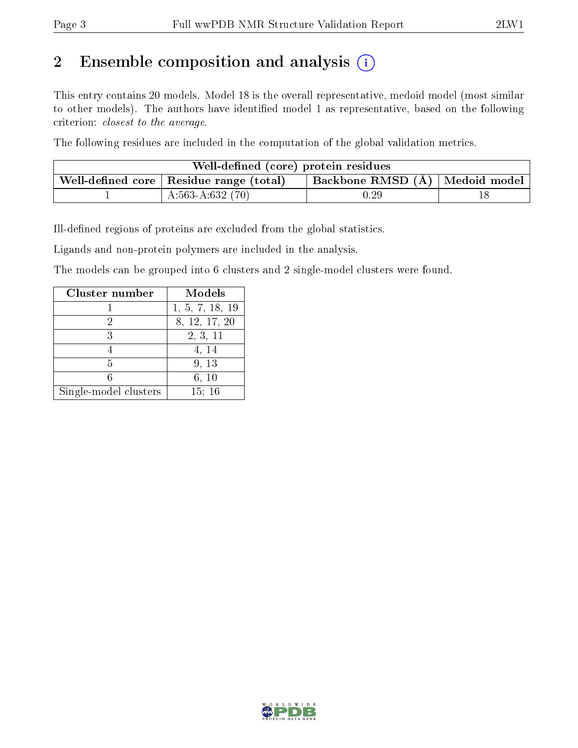# 2 Ensemble composition and analysis  $(i)$

This entry contains 20 models. Model 18 is the overall representative, medoid model (most similar to other models). The authors have identified model 1 as representative, based on the following criterion: closest to the average.

The following residues are included in the computation of the global validation metrics.

| Well-defined (core) protein residues |                                                        |                                    |  |  |  |  |
|--------------------------------------|--------------------------------------------------------|------------------------------------|--|--|--|--|
|                                      | $\,$ Well-defined core $\,$ Residue range (total) $\,$ | Backbone RMSD $(A)$   Medoid model |  |  |  |  |
|                                      | A:563-A:632 $(70)$                                     | $0.29\,$                           |  |  |  |  |

Ill-defined regions of proteins are excluded from the global statistics.

Ligands and non-protein polymers are included in the analysis.

The models can be grouped into 6 clusters and 2 single-model clusters were found.

| Cluster number        | Models          |
|-----------------------|-----------------|
|                       | 1, 5, 7, 18, 19 |
| 2                     | 8, 12, 17, 20   |
| 3                     | 2, 3, 11        |
|                       | 4, 14           |
| 5                     | 9, 13           |
|                       | 6, 10           |
| Single-model clusters | 15:16           |

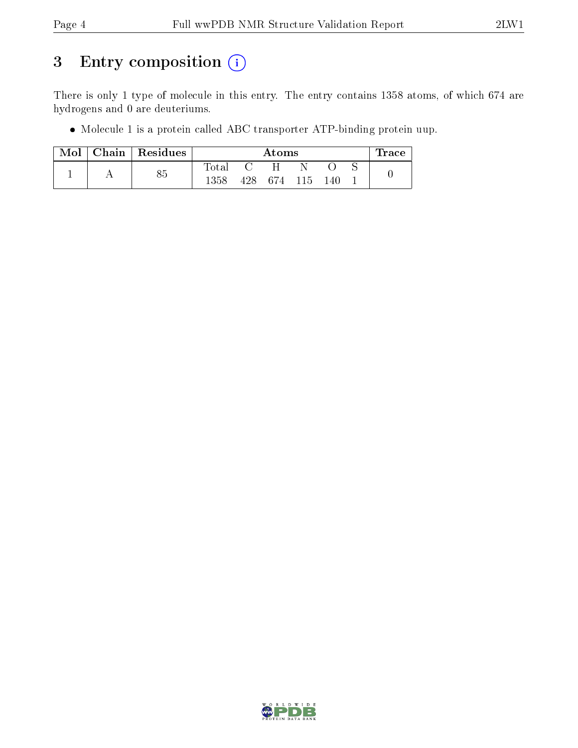# 3 Entry composition (i)

There is only 1 type of molecule in this entry. The entry contains 1358 atoms, of which 674 are hydrogens and 0 are deuteriums.

Molecule 1 is a protein called ABC transporter ATP-binding protein uup.

| $\text{Mol}$ | Chain Residues | Atoms          |              |         |  |     | Trace |  |
|--------------|----------------|----------------|--------------|---------|--|-----|-------|--|
|              | ΩĘ             | $_{\rm Total}$ | $\mathbf{I}$ | H.      |  |     |       |  |
|              | ⊙⊖             | 1358           | 428.         | 674 115 |  | 140 |       |  |

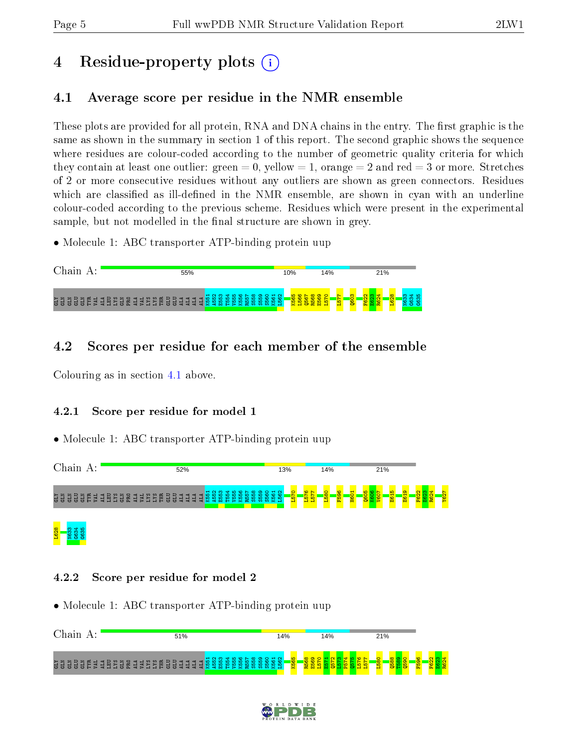# 4 Residue-property plots  $\binom{1}{1}$

### <span id="page-4-0"></span>4.1 Average score per residue in the NMR ensemble

These plots are provided for all protein, RNA and DNA chains in the entry. The first graphic is the same as shown in the summary in section 1 of this report. The second graphic shows the sequence where residues are colour-coded according to the number of geometric quality criteria for which they contain at least one outlier: green  $= 0$ , yellow  $= 1$ , orange  $= 2$  and red  $= 3$  or more. Stretches of 2 or more consecutive residues without any outliers are shown as green connectors. Residues which are classified as ill-defined in the NMR ensemble, are shown in cyan with an underline colour-coded according to the previous scheme. Residues which were present in the experimental sample, but not modelled in the final structure are shown in grey.

• Molecule 1: ABC transporter ATP-binding protein uup



### 4.2 Scores per residue for each member of the ensemble

Colouring as in section [4.1](#page-4-0) above.

#### 4.2.1 Score per residue for model 1

• Molecule 1: ABC transporter ATP-binding protein uup



#### 4.2.2 Score per residue for model 2



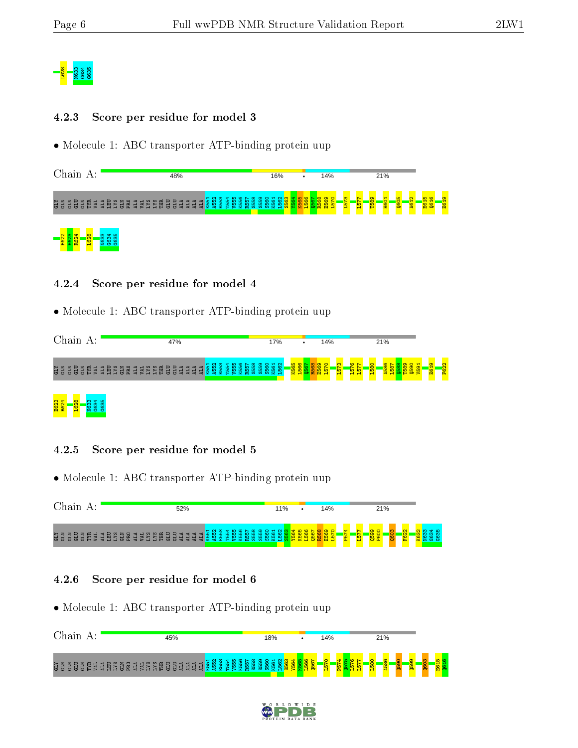

#### 4.2.3 Score per residue for model 3

• Molecule 1: ABC transporter ATP-binding protein uup



#### 4.2.4 Score per residue for model 4

• Molecule 1: ABC transporter ATP-binding protein uup

| Chain<br>А:                                  | 47%                                                 |                                                        | 17%                                                                  | 14%                                                                         |                                                  | 21%                                                                          |                                                           |
|----------------------------------------------|-----------------------------------------------------|--------------------------------------------------------|----------------------------------------------------------------------|-----------------------------------------------------------------------------|--------------------------------------------------|------------------------------------------------------------------------------|-----------------------------------------------------------|
| ដូទូទីទី<br>ATA<br>ATA<br>島<br>និដ្ឋ<br>$-5$ | <b>BITA</b><br>KIT<br><b>BSEBB44</b><br>E<br>22 S A | ത<br>ਰਾ<br>$H_{\alpha}$<br>~<br>ന<br>$\times$ $\alpha$ | $\circ$ $\circ$ $\circ$ $\circ$ $\circ$<br><b>88</b><br>-84 A<br>ဟ ဟ | $\frac{100}{2}$<br>ൈ<br>$\infty$<br>$\circ$<br><b>K561</b><br>闓<br>io.<br>ě | က<br><b>CO</b><br>►<br><u>តិ តិ</u><br><u>قا</u> | $\circ$<br>$\circ$ $\sim$<br>$\sim$ $\sim$<br>ൈ<br>$\frac{8}{5}$<br>8<br>a s | $\sigma$<br>$\mathbf{\alpha}$<br>E <mark>82</mark><br>E61 |

#### E623 R624 L628 N633 G634 G635

#### 4.2.5 Score per residue for model 5

• Molecule 1: ABC transporter ATP-binding protein uup



#### 4.2.6 Score per residue for model 6



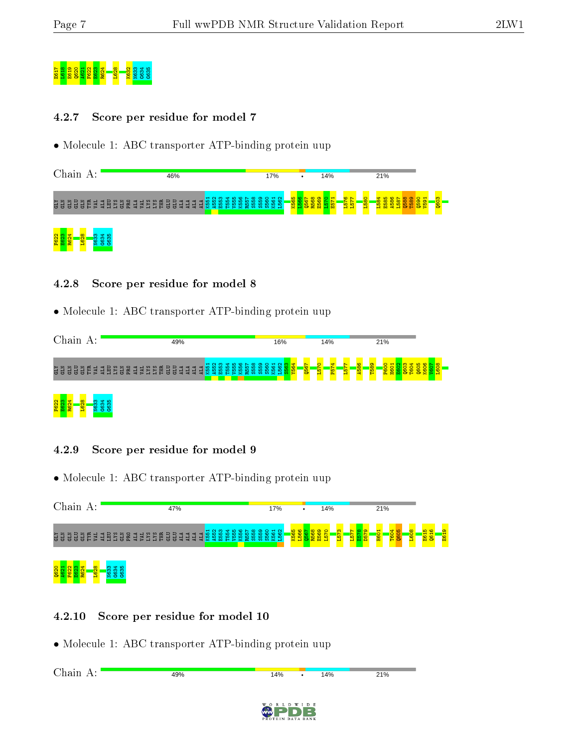# E618 E623 2021 2022 E62<br>E623 E623 E623 E623 E623<br>E623 E623 E623 E623 E623

#### 4.2.7 Score per residue for model 7

• Molecule 1: ABC transporter ATP-binding protein uup



#### 4.2.8 Score per residue for model 8

• Molecule 1: ABC transporter ATP-binding protein uup

| Chain<br>А:    | 49%                                                                                         | 16%                                                                     | 14%                                    | 21%                                                                                                                                                |   |
|----------------|---------------------------------------------------------------------------------------------|-------------------------------------------------------------------------|----------------------------------------|----------------------------------------------------------------------------------------------------------------------------------------------------|---|
| <b>ääää䣥48</b> | $\sim$ $\sim$<br>÷<br>$\pm$<br>m<br>រុ និទ្ធិ <b>ម ក្នុ</b> និន្ទ ម្ពុះ ទី ទី ទី ទី ទី<br>E | $\sim$<br>ᅱ<br>~<br><b>a</b> sp<br><u> 197</u><br>ິດເດ<br>ິ<br>חו<br>חו | o<br>۰b<br>ما<br>Ē<br><b>IQ</b><br>īΔ. | <b>O</b><br>ю<br>$\sigma$<br>$m +$<br>$\circ$<br>$\overline{\phantom{a}}$<br><b>82</b><br><b>Bar</b><br>o<br>$\sim$<br>0<br>$\sim$<br>$\mathbf{C}$ | ⌒ |



#### 4.2.9 Score per residue for model 9

• Molecule 1: ABC transporter ATP-binding protein uup



#### 4.2.10 Score per residue for model 10

• Molecule 1: ABC transporter ATP-binding protein uup

Chain A:49%  $14%$ 14% 21%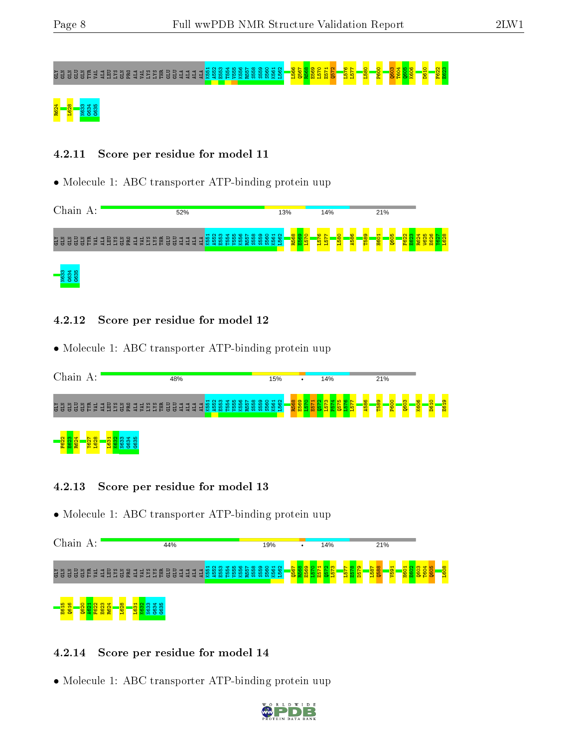# ទីមិនិមិន ឱ្យមានមិនថ្មីនូវដូន មិនិថ្មី ថ្មី កូ<mark>និន្ទី និ</mark>និន្ទី និន្ទី និន្ទី និងិន្ទី



N633 G634 G635

#### 4.2.11 Score per residue for model 11

• Molecule 1: ABC transporter ATP-binding protein uup

| Chain<br>A:                                              | 52%                       | 13%                                                                                                            | 14%                                                                      | 21%                                                                  |          |
|----------------------------------------------------------|---------------------------|----------------------------------------------------------------------------------------------------------------|--------------------------------------------------------------------------|----------------------------------------------------------------------|----------|
| ដូមិទីទីទី<br><b>ERO</b><br>Ĵ.<br>E SI<br>Si<br>ĒS<br>-편 | <b>REBB</b><br>ਤੋ ਤੋ<br>E | n <mark>388</mark><br><mark>888</mark><br><mark>1388</mark><br>- 굶 옮  <br>$\circ$<br>. ಅ<br>Ѩ<br>몶<br>19<br>R. | <mark>. ಹಿ.</mark><br>ô<br><u> နွ</u><br>-<br>т<br>$\sim$<br>嘻<br>B<br>웝 | <b>S</b><br><u> ဆ</u><br><mark>н601</mark><br>ΤËΙ<br><b>i</b> s<br>읾 | မွှ<br>뽛 |
|                                                          |                           |                                                                                                                |                                                                          |                                                                      |          |

#### 4.2.12 Score per residue for model 12

• Molecule 1: ABC transporter ATP-binding protein uup



#### 4.2.13 Score per residue for model 13

• Molecule 1: ABC transporter ATP-binding protein uup



#### 4.2.14 Score per residue for model 14

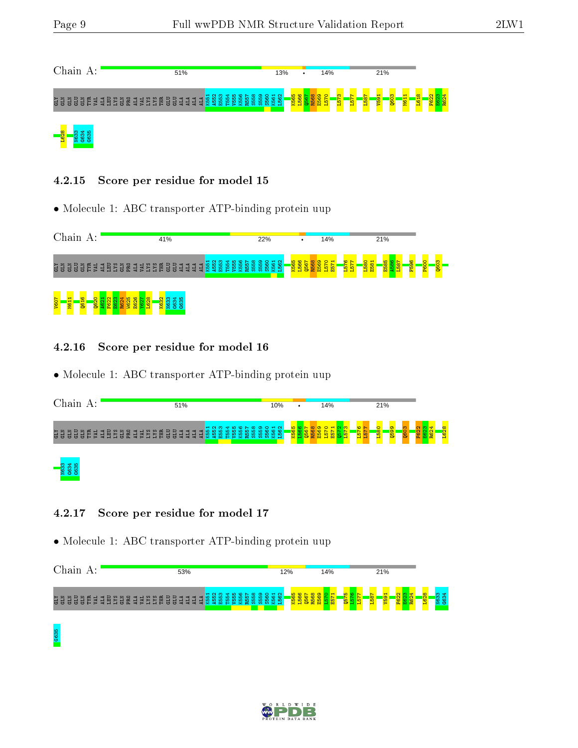| Chain<br>A:                                                                                                                                    | 51%                                                                                                                    | 13%<br>٠                                                                                                                                                                                 | 14%                                            | 21%                                                                               |                      |
|------------------------------------------------------------------------------------------------------------------------------------------------|------------------------------------------------------------------------------------------------------------------------|------------------------------------------------------------------------------------------------------------------------------------------------------------------------------------------|------------------------------------------------|-----------------------------------------------------------------------------------|----------------------|
| ដូដូ<br><b>ELD</b><br>EEU<br>Я<br>NL3<br>УAL<br>в<br>ᄇ<br>э<br>묪<br>s<br>€<br>s.<br>a<br>Б<br>5 F<br>$\overline{\phantom{a}}$<br>a s<br>$\sim$ | $H \cap \mathfrak{O}$<br>ិដ្ឋ<br>និន្នម<br>$\overline{4}$<br>IE.<br>ĩő<br>73<br><b>Contract</b><br>ы<br>m<br>43 Z<br>÷ | <b>K565</b><br>L566<br>$\mathbf{H}$ $\alpha$<br>္ထ<br>ာ<br>- 33<br>ണ<br>m<br>8<br>್ಲಿ<br>ñδ<br>īδ<br>ĩó<br>Se od<br>÷.<br><b>CO</b><br>$\overline{r}$<br>-84 - 44<br>$\overline{r}$<br>- | က<br>e<br>$\circ$<br>E56<br>Q56'<br>157<br>157 | S<br>$\blacksquare$<br><b>MS1</b><br><mark>eav</mark><br>Q60<br><b>BS1</b><br>157 | $\infty$<br><b>G</b> |
| 40<br>- 있<br>m<br>55                                                                                                                           |                                                                                                                        |                                                                                                                                                                                          |                                                |                                                                                   |                      |

#### 4.2.15 Score per residue for model 15

• Molecule 1: ABC transporter ATP-binding protein uup



#### 4.2.16 Score per residue for model 16

• Molecule 1: ABC transporter ATP-binding protein uup

| Chain<br>A:                                                                                                                                              | 51%                                                                                                                | 10%                                                                                      | 14%<br>$\bullet$                                                                   | 21%                                                                                                     |                        |
|----------------------------------------------------------------------------------------------------------------------------------------------------------|--------------------------------------------------------------------------------------------------------------------|------------------------------------------------------------------------------------------|------------------------------------------------------------------------------------|---------------------------------------------------------------------------------------------------------|------------------------|
| ដូដូ<br><b>NTP</b><br>$\overline{5}$<br><b>LEU</b><br>$\Xi$<br>A <sub>LA</sub><br>윤<br>ᇦ<br>$\overline{414}$<br>度<br>E.<br><b>r</b> b<br><b>For</b><br>- | <b>H N M 4 10</b><br>臣吕<br><b>GLU</b><br>និរា<br>$\overline{AB}$<br>УAI<br>$\overline{AB}$<br>Ιň<br>ĩő<br>ĸ.<br>D. | $\circ$ $\circ$ $\circ$ $\circ$ $\circ$ $\circ$<br>$\circ$ $\sim$<br>88<br>က္က<br>-52 LJ | <u> ယ ယ</u><br>∞<br>o<br>к56<br>L56<br>R <sub>56</sub><br>16<br>闓<br>-g<br>iο<br>m | <mark>1576</mark><br>1577<br><b>1580</b><br>$\sim$ $\sim$<br><b>66gb</b><br>S<br><b>Q60</b><br><b>下</b> | $\infty$<br><b>S21</b> |
| 34<br><b>988</b>                                                                                                                                         |                                                                                                                    |                                                                                          |                                                                                    |                                                                                                         |                        |

#### 4.2.17 Score per residue for model 17

G635

| Chain                                                                        | 53%                                                                              | 12%                                                                            | 14%        | 21%                                                          |                                                          |
|------------------------------------------------------------------------------|----------------------------------------------------------------------------------|--------------------------------------------------------------------------------|------------|--------------------------------------------------------------|----------------------------------------------------------|
| <b>SHA</b><br>KIR<br>, អ្នក<br>E<br>国首<br>훈달<br>븀<br><b>CONTROL</b><br>-- 5. | $- \alpha \omega$<br>ິ<br>EJ<br>ALA<br><b>SATA</b><br>SAT<br>胃目<br>ᄇ<br><b>E</b> | $\sim$<br>⌒<br>ൈ<br>ന<br>$\omega$ $\omega$<br><u> 10 IO</u><br><u> 많 명 용 딿</u> | <b>ISD</b> | <b>S87</b><br>$\sim$ :<br>$\sigma$<br>E.<br>a<br><b>CENT</b> | $\frac{8}{2}$<br>ო 4<br>ကြ က<br>6<br>$\circ$<br>. .<br>H |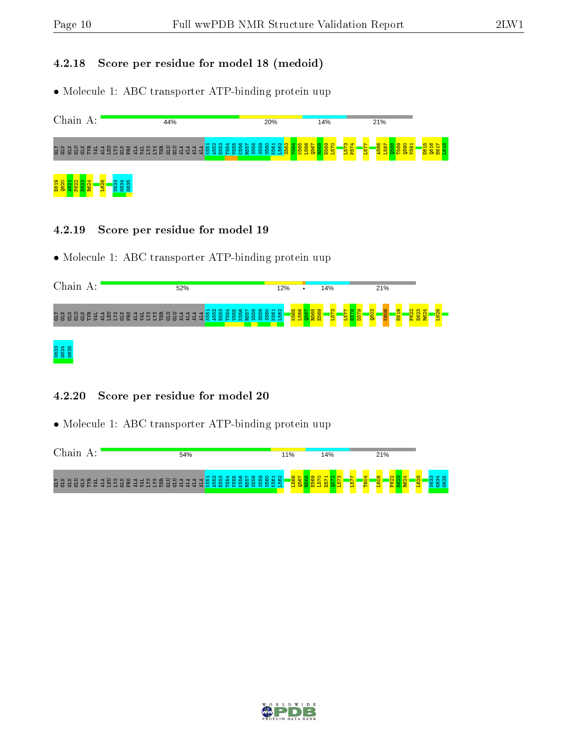#### 4.2.18 Score per residue for model 18 (medoid)

• Molecule 1: ABC transporter ATP-binding protein uup



#### 4.2.19 Score per residue for model 19

• Molecule 1: ABC transporter ATP-binding protein uup

| $\gamma_{\text{hoin}}$                                          | 52%                                                                                                 | 12%                                                                                                                         | 14%                            | 21%                                                  |                                           |
|-----------------------------------------------------------------|-----------------------------------------------------------------------------------------------------|-----------------------------------------------------------------------------------------------------------------------------|--------------------------------|------------------------------------------------------|-------------------------------------------|
| ដូដូ<br><b>ED</b><br>C2C<br>- 400<br><b>F</b> <sub>1</sub><br>- | $\blacksquare$ $\blacksquare$ $\blacksquare$<br>⊲+ ഥ<br>൹<br>날날날<br>$\sim$ $\sim$<br>- 44<br>н<br>⇒ | $\omega$ $\omega$ $\sim$ $+$ $\sim$<br><u>  ဟု ထ</u><br>-<br>— <mark>0 0</mark> -<br>$\omega$<br>ິ<br>הו<br><b>Ra</b><br>הו | $\infty$ $\infty$<br>of M<br>н | m.<br>െ<br><b>S</b><br>K60<br>−<br>留<br>$\mathbf{C}$ | $N$ $m$<br>$\infty$<br>ᢦ<br>Ċ.<br>œ<br>D. |

### N633<br>G634<br>G634

#### 4.2.20 Score per residue for model 20

| $\gamma$ hain                                                           | 54%                                                                            | 11%                                                                                            | 14% | 21%                              |                        |
|-------------------------------------------------------------------------|--------------------------------------------------------------------------------|------------------------------------------------------------------------------------------------|-----|----------------------------------|------------------------|
| <b>GLN</b><br>្ម<br>호크<br>P.<br>S B<br>- 50<br>ᆸ<br>$\blacksquare$<br>름 | <b>NM</b><br>ᆔ<br>E<br>ENT<br>日出<br>н<br>$\mathbf{H}$<br>L<br>lιo<br>டி<br>. . | $\sim$<br>$\circ$<br>$\overline{\phantom{a}}$<br>ന<br>σō<br>$\epsilon$<br><b>SC</b><br>הו<br>ю |     | $\mathbf{N}$<br>$\sim$<br>$\sim$ | 40<br>ი α<br>Ñ<br>co c |

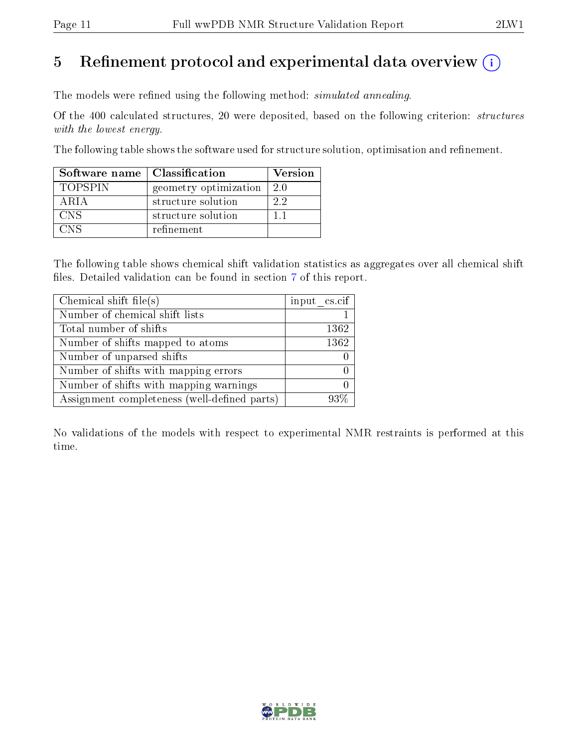# 5 Refinement protocol and experimental data overview  $\binom{1}{k}$

The models were refined using the following method: *simulated annealing*.

Of the 400 calculated structures, 20 were deposited, based on the following criterion: structures with the lowest energy.

The following table shows the software used for structure solution, optimisation and refinement.

| Software name   Classification |                       | Version |
|--------------------------------|-----------------------|---------|
| <b>TOPSPIN</b>                 | geometry optimization | 20      |
| ARIA                           | structure solution    | 22      |
| CNS                            | structure solution    |         |
| $\cap$ NS                      | refinement            |         |

The following table shows chemical shift validation statistics as aggregates over all chemical shift files. Detailed validation can be found in section [7](#page-16-0) of this report.

| Chemical shift file(s)                       | input cs.cif |
|----------------------------------------------|--------------|
| Number of chemical shift lists               |              |
| Total number of shifts                       | 1362         |
| Number of shifts mapped to atoms             | 1362         |
| Number of unparsed shifts                    |              |
| Number of shifts with mapping errors         |              |
| Number of shifts with mapping warnings       |              |
| Assignment completeness (well-defined parts) | 93%          |

No validations of the models with respect to experimental NMR restraints is performed at this time.

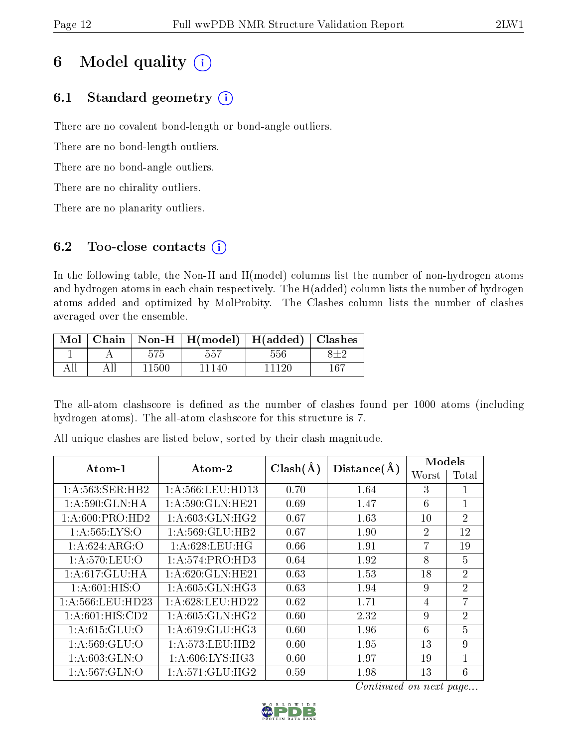# 6 Model quality  $(i)$

### 6.1 Standard geometry  $(i)$

There are no covalent bond-length or bond-angle outliers.

There are no bond-length outliers.

There are no bond-angle outliers.

There are no chirality outliers.

There are no planarity outliers.

### 6.2 Too-close contacts  $(i)$

In the following table, the Non-H and H(model) columns list the number of non-hydrogen atoms and hydrogen atoms in each chain respectively. The H(added) column lists the number of hydrogen atoms added and optimized by MolProbity. The Clashes column lists the number of clashes averaged over the ensemble.

| Mol |       | Chain   Non-H   $H(model)$   $H(added)$   Clashes |       |     |
|-----|-------|---------------------------------------------------|-------|-----|
|     |       | 557                                               | 556   |     |
|     | 11500 | $-11140$                                          | 11190 | 167 |

The all-atom clashscore is defined as the number of clashes found per 1000 atoms (including hydrogen atoms). The all-atom clashscore for this structure is 7.

| Atom-1            | Atom-2                          | $Clash(\AA)$ | Distance(A) | Models         |                |
|-------------------|---------------------------------|--------------|-------------|----------------|----------------|
|                   |                                 |              |             | Worst          | Total          |
| 1: A:563: SER:HB2 | 1:A:566:LEU:HD13                | 0.70         | 1.64        | 3              |                |
| 1:A:590:GLN:HA    | 1: A:590: GLN: HE21             | 0.69         | 1.47        | 6              | $\mathbf{1}$   |
| 1: A:600: PRO:HD2 | 1: A:603: GLN: HG2              | 0.67         | 1.63        | 10             | $\overline{2}$ |
| 1: A: 565: LYS: O | 1:A:569:GLU:HB2                 | 0.67         | 1.90        | $\overline{2}$ | 12             |
| 1:A:624:ARG:O     | 1:A:628:LEU:HG                  | 0.66         | 1.91        | 7              | 19             |
| 1:A:570:LEU:O     | 1:A:574:PRO:HD3                 | 0.64         | 1.92        | 8              | $\overline{5}$ |
| 1:A:617:GLU:HA    | 1: A:620: GLN: HE21             | 0.63         | 1.53        | 18             | $\overline{2}$ |
| 1: A:601: HIS:O   | $1: A:605: GLN: H\overline{G3}$ | 0.63         | 1.94        | 9              | $\overline{2}$ |
| 1:A:566:LEU:HD23  | 1: A:628:LEU:HD22               | 0.62         | 1.71        | 4              | $\overline{7}$ |
| 1: A:601: HIS:CD2 | 1: A:605: GLN: HG2              | 0.60         | 2.32        | 9              | $\overline{2}$ |
| 1: A:615: GLU:O   | 1: A:619: GLU: HG3              | 0.60         | 1.96        | 6              | 5              |
| 1: A:569: GLU:O   | 1: A: 573: LEU: HB2             | 0.60         | 1.95        | 13             | 9              |
| 1:A:603:GLN:O     | 1: A:606: LYS: HG3              | 0.60         | 1.97        | 19             | 1              |
| 1: A:567: GLN:O   | 1: A:571: GLU:HG2               | 0.59         | 1.98        | 13             | 6              |

All unique clashes are listed below, sorted by their clash magnitude.

Continued on next page...

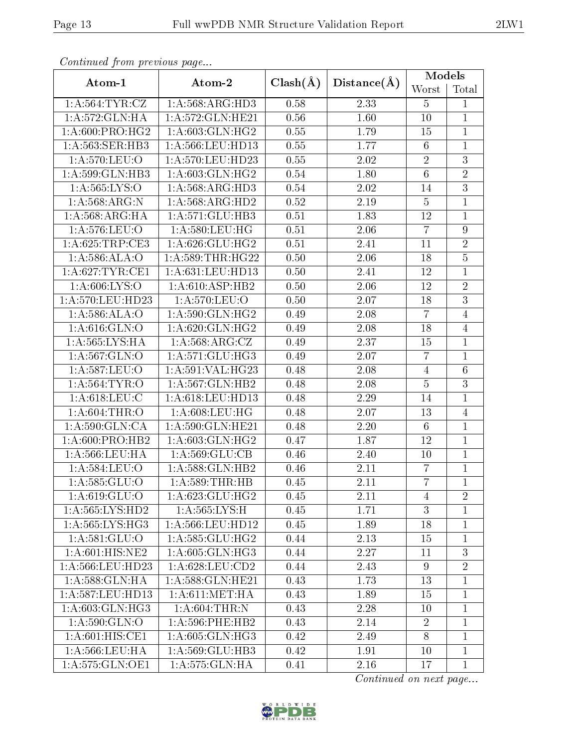| Continuea from previous page |                                |              |                   |                 | $\text{Models}$ |  |
|------------------------------|--------------------------------|--------------|-------------------|-----------------|-----------------|--|
| Atom-1                       | Atom-2                         | $Clash(\AA)$ | Distance(A)       | Worst           | Total           |  |
| 1: A: 564: TYR: CZ           | 1: A:568:ARG:HD3               | 0.58         | 2.33              | $\overline{5}$  | $\mathbf 1$     |  |
| 1:A:572:GLN:HA               | 1:A:572:GLN:HE21               | 0.56         | 1.60              | 10              | $\overline{1}$  |  |
| 1: A:600:PRO:HG2             | 1: A:603: GLN: HG2             | 0.55         | 1.79              | 15              | $\mathbf{1}$    |  |
| 1:A:563:SER:HB3              | 1:A:566:LEU:HD13               | 0.55         | 1.77              | $\overline{6}$  | $\overline{1}$  |  |
| 1:A:570:LEU:O                | 1:A:570:LEU:HD23               | 0.55         | 2.02              | $\sqrt{2}$      | $\overline{3}$  |  |
| 1:A:599:GLN:HB3              | 1: A:603: GLN: HG2             | 0.54         | 1.80              | $\overline{6}$  | $\overline{2}$  |  |
| 1: A: 565: LYS: O            | 1: A:568:ARG:HD3               | 0.54         | 2.02              | 14              | $\overline{3}$  |  |
| 1: A:568:ARG:N               | 1: A: 568: ARG: HD2            | 0.52         | 2.19              | $\overline{5}$  | $\overline{1}$  |  |
| 1: A:568:ARG:HA              | 1:A:571:GLU:HB3                | 0.51         | 1.83              | 12              | $\mathbf{1}$    |  |
| 1:A:576:LEU:O                | 1: A:580: LEU: HG              | 0.51         | 2.06              | $\overline{7}$  | $\overline{9}$  |  |
| 1: A:625:TRP:CE3             | 1: A:626: GLU: HG2             | 0.51         | 2.41              | 11              | $\overline{2}$  |  |
| 1: A:586: ALA:O              | 1:A:589:THR:HG22               | 0.50         | $2.06\,$          | 18              | $\overline{5}$  |  |
| 1: A:627:TYR:CE1             | 1: A:631:LEU:HD13              | 0.50         | 2.41              | 12              | $\mathbf{1}$    |  |
| 1: A:606: LYS:O              | 1: A:610: ASP:HB2              | 0.50         | 2.06              | 12              | $\overline{2}$  |  |
| 1:A:570:LEU:HD23             | 1: A:570:LEU:O                 | 0.50         | 2.07              | 18              | $\overline{3}$  |  |
| 1: A:586: ALA:O              | 1: A:590: GLN: HG2             | 0.49         | 2.08              | $\overline{7}$  | $\overline{4}$  |  |
| 1: A:616: GLN:O              | $1: A:620: \overline{GLN:HG2}$ | 0.49         | 2.08              | 18              | $\overline{4}$  |  |
| 1: A: 565: LYS: HA           | 1: A:568:ARG:CZ                | 0.49         | 2.37              | 15              | $\mathbf{1}$    |  |
| 1: A: 567: GLN:O             | 1: A:571: GLU:HG3              | 0.49         | 2.07              | $\overline{7}$  | $\overline{1}$  |  |
| 1: A: 587: LEU: O            | 1:A:591:VAL:HG23               | 0.48         | 2.08              | $\overline{4}$  | $6\phantom{.}6$ |  |
| 1: A:564:TYR:O               | 1: A:567: GLN:HB2              | 0.48         | 2.08              | $\overline{5}$  | $\overline{3}$  |  |
| 1: A:618:LEU:C               | 1:A:618:LEU:HD13               | 0.48         | 2.29              | 14              | $\mathbf{1}$    |  |
| 1: A:604:THR:O               | 1: A:608: LEU: HG              | 0.48         | $\overline{2.07}$ | 13              | $\overline{4}$  |  |
| 1: A:590: GLN:CA             | 1:A:590:GLN:HE21               | 0.48         | 2.20              | $\,6\,$         | $\mathbf{1}$    |  |
| 1:A:600:PRO:HB2              | 1: A:603:GLN:HG2               | 0.47         | 1.87              | 12              | $\mathbf{1}$    |  |
| 1: A:566:LEU:HA              | 1: A:569: GLU:CB               | 0.46         | 2.40              | 10              | $\mathbf{1}$    |  |
| 1:A:584:LEU:O                | 1:A:588:GLN:HB2                | 0.46         | $\overline{2.11}$ | $\overline{7}$  | $\mathbf{1}$    |  |
| 1: A: 585: GLU:O             | 1:A:589:THR:HB                 | 0.45         | $\overline{2.11}$ | $\overline{7}$  | $\mathbf{1}$    |  |
| 1: A:619: GLU:O              | 1: A:623: GLU: HG2             | 0.45         | 2.11              | $\overline{4}$  | $\overline{2}$  |  |
| 1: A: 565: LYS: HD2          | 1: A: 565: LYS:H               | 0.45         | 1.71              | 3               | $\mathbf 1$     |  |
| 1: A:565:LYS:HG3             | $1: A:566:$ LEU:HD12           | 0.45         | 1.89              | 18              | $\mathbf{1}$    |  |
| 1: A:581: GLU:O              | 1: A: 585: GLU: HG2            | 0.44         | 2.13              | 15              | $\mathbf{1}$    |  |
| $1:A:\overline{601:HIS:NE2}$ | 1:A:605:GLN:HG3                | 0.44         | 2.27              | 11              | 3               |  |
| $1: A: 566:$ LEU:HD23        | 1: A:628:LEU:CD2               | 0.44         | 2.43              | $9\phantom{.0}$ | $\sqrt{2}$      |  |
| 1: A:588: GLN: HA            | 1: A:588: GLN: HE21            | 0.43         | 1.73              | 13              | $\mathbf 1$     |  |
| 1:A:587:LEU:HD13             | 1: A:611: MET:HA               | 0.43         | 1.89              | 15              | $\mathbf{1}$    |  |
| 1: A:603: GLN: HG3           | 1: A:604:THR:N                 | 0.43         | 2.28              | 10              | $\mathbf{1}$    |  |
| 1: A:590: GLN:O              | $1: A:596:$ PHE:HB2            | 0.43         | 2.14              | $\overline{2}$  | $\mathbf{1}$    |  |
| 1: A:601: HIS:CE1            | 1: A:605: GLN: HG3             | 0.42         | 2.49              | $8\,$           | $\mathbf{1}$    |  |
| 1:A:566:LEU:HA               | 1:A:569:GLU:HB3                | 0.42         | 1.91              | 10              | $\mathbf{1}$    |  |
| 1:A:575:GLN:OE1              | 1:A:575:GLN:HA                 | 0.41         | 2.16              | 17              | $\mathbf{1}$    |  |

Continued from previous page.

Continued on next page...

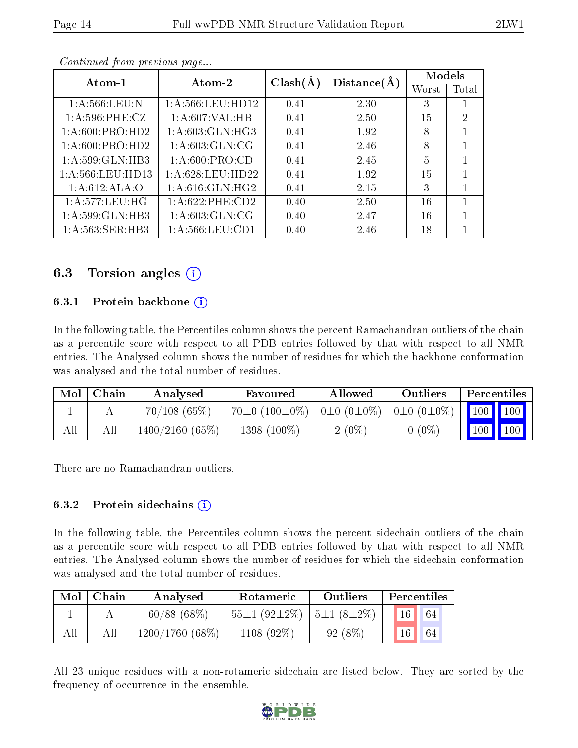| Atom-1               | Atom-2             |              | Distance(A) | Models |                |
|----------------------|--------------------|--------------|-------------|--------|----------------|
|                      |                    | $Clash(\AA)$ |             | Worst  | Total          |
| 1: A:566:LEU: N      | 1: A:566:LEU:HD12  | 0.41         | 2.30        | 3      |                |
| 1: A:596: PHE: CZ    | 1: A:607:VAL:HB    | 0.41         | 2.50        | 15     | $\overline{2}$ |
| 1: A:600: PRO:HD2    | 1: A:603: GLN: HG3 | 0.41         | 1.92        | 8      |                |
| 1: A:600: PRO:HD2    | 1: A:603: GLN:CG   | 0.41         | 2.46        | 8      |                |
| 1:A:599:GLN:HB3      | 1: A:600: PRO:CD   | 0.41         | 2.45        | 5      |                |
| 1: A: 566: LEU: HD13 | 1:A:628:LEU:HD22   | 0.41         | 1.92        | 15     |                |
| 1:A:612:ALA:O        | 1: A:616: GLN: HG2 | 0.41         | 2.15        | 3      |                |
| 1: A:577:LEU:HG      | 1: A:622:PHE:CD2   | 0.40         | 2.50        | 16     |                |
| 1:A:599:GLN:HB3      | 1: A:603: GLN:CG   | 0.40         | 2.47        | 16     |                |
| 1:A:563:SER:HB3      | 1: A:566:LEU:CD1   | 0.40         | 2.46        | 18     |                |

Continued from previous page...

### 6.3 Torsion angles  $(i)$

#### 6.3.1 Protein backbone  $(i)$

In the following table, the Percentiles column shows the percent Ramachandran outliers of the chain as a percentile score with respect to all PDB entries followed by that with respect to all NMR entries. The Analysed column shows the number of residues for which the backbone conformation was analysed and the total number of residues.

| Mol | ${\rm Chain}$ | Analysed          | Favoured                 | Allowed               | Outliers            | Percentiles |                    |
|-----|---------------|-------------------|--------------------------|-----------------------|---------------------|-------------|--------------------|
|     |               | $70/108$ (65%)    | $70\pm0$ (100 $\pm0\%$ ) | $0\pm 0$ $(0\pm 0\%)$ | $ 0\pm 0(0\pm 0\%)$ | 100   100   |                    |
| All |               | $1400/2160(65\%)$ | 1398 $(100\%)$           | $2(0\%)$              | $0(0\%)$            | <b>100</b>  | $\blacksquare$ 100 |

There are no Ramachandran outliers.

#### 6.3.2 Protein sidechains  $(i)$

In the following table, the Percentiles column shows the percent sidechain outliers of the chain as a percentile score with respect to all PDB entries followed by that with respect to all NMR entries. The Analysed column shows the number of residues for which the sidechain conformation was analysed and the total number of residues.

| Mol | Chain | Analysed       | Rotameric          | Outliers         |                 | Percentiles |
|-----|-------|----------------|--------------------|------------------|-----------------|-------------|
|     |       | $60/88$ (68\%) | $55\pm1(92\pm2\%)$ | $5\pm1(8\pm2\%)$ | 16 <sup>°</sup> | 64          |
| All | All   | 1200/1760(68%) | 1108 (92%)         | $92(8\%)$        | 16              | 64          |

All 23 unique residues with a non-rotameric sidechain are listed below. They are sorted by the frequency of occurrence in the ensemble.

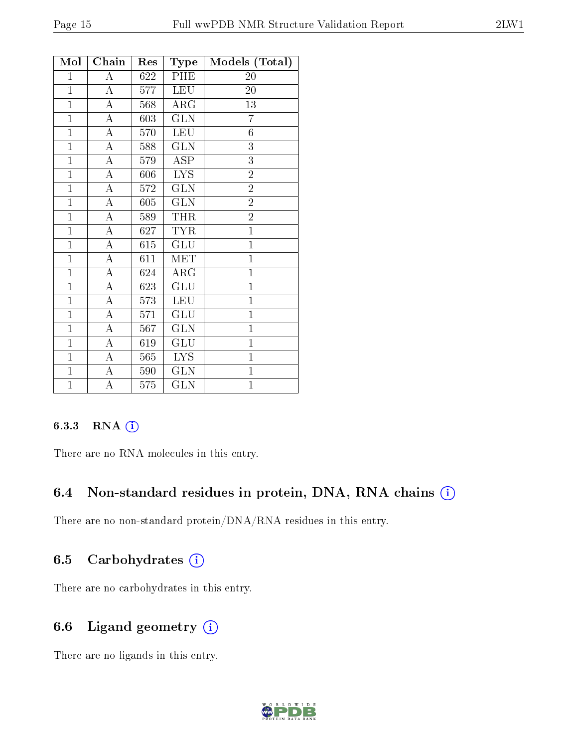| Mol            | Chain              | ${\mathop{\mathrm{Res}}\nolimits}$ | Type                    | Models (Total) |
|----------------|--------------------|------------------------------------|-------------------------|----------------|
| $\mathbf{1}$   | $\overline{\rm A}$ | $\overline{6}22$                   | PHE                     | 20             |
| $\mathbf{1}$   | $\overline{\rm A}$ | 577                                | <b>LEU</b>              | <b>20</b>      |
| $\mathbf{1}$   | A                  | 568                                | ${\rm ARG}$             | 13             |
| $\overline{1}$ | $\overline{A}$     | 603                                | $\overline{\text{GLN}}$ | $\overline{7}$ |
| $\overline{1}$ | A                  | 570                                | <b>LEU</b>              | $\overline{6}$ |
| $\overline{1}$ | $\overline{\rm A}$ | 588                                | $\overline{\text{GLN}}$ | $\overline{3}$ |
| $\overline{1}$ | $\overline{\rm A}$ | 579                                | <b>ASP</b>              | 3              |
| $\overline{1}$ | $\boldsymbol{A}$   | 606                                | <b>LYS</b>              | $\overline{2}$ |
| $\mathbf{1}$   | $\overline{\rm A}$ | 572                                | <b>GLN</b>              | $\overline{2}$ |
| $\mathbf{1}$   | A                  | 605                                | <b>GLN</b>              | $\overline{2}$ |
| $\mathbf{1}$   | $\boldsymbol{A}$   | 589                                | <b>THR</b>              | $\overline{2}$ |
| $\mathbf{1}$   | А                  | 627                                | <b>TYR</b>              | $\overline{1}$ |
| $\overline{1}$ | $\boldsymbol{A}$   | 615                                | <b>GLU</b>              | $\overline{1}$ |
| $\overline{1}$ | $\overline{\rm A}$ | 611                                | MET                     | $\mathbf{1}$   |
| $\mathbf{1}$   | $\boldsymbol{A}$   | 624                                | ARG                     | $\mathbf 1$    |
| $\mathbf{1}$   | $\overline{\rm A}$ | 623                                | GLU                     | $\mathbf{1}$   |
| $\mathbf{1}$   | A                  | 573                                | <b>LEU</b>              | $\mathbf{1}$   |
| $\overline{1}$ | $\boldsymbol{A}$   | 571                                | <b>GLU</b>              | $\mathbf{1}$   |
| $\overline{1}$ | А                  | 567                                | <b>GLN</b>              | $\overline{1}$ |
| $\overline{1}$ | $\boldsymbol{A}$   | 619                                | GLU                     | $\overline{1}$ |
| $\overline{1}$ | $\overline{\rm A}$ | 565                                | $\overline{\text{LYS}}$ | $\mathbf{1}$   |
| $\mathbf{1}$   | $\boldsymbol{A}$   | 590                                | GLN                     | $\mathbf{1}$   |
| $\mathbf{1}$   | $\overline{\rm A}$ | 575                                | $\overline{\text{GLN}}$ | $\overline{1}$ |

#### 6.3.3 RNA [O](https://www.wwpdb.org/validation/2017/NMRValidationReportHelp#rna)i

There are no RNA molecules in this entry.

### 6.4 Non-standard residues in protein, DNA, RNA chains (i)

There are no non-standard protein/DNA/RNA residues in this entry.

#### 6.5 Carbohydrates  $(i)$

There are no carbohydrates in this entry.

### 6.6 Ligand geometry  $(i)$

There are no ligands in this entry.

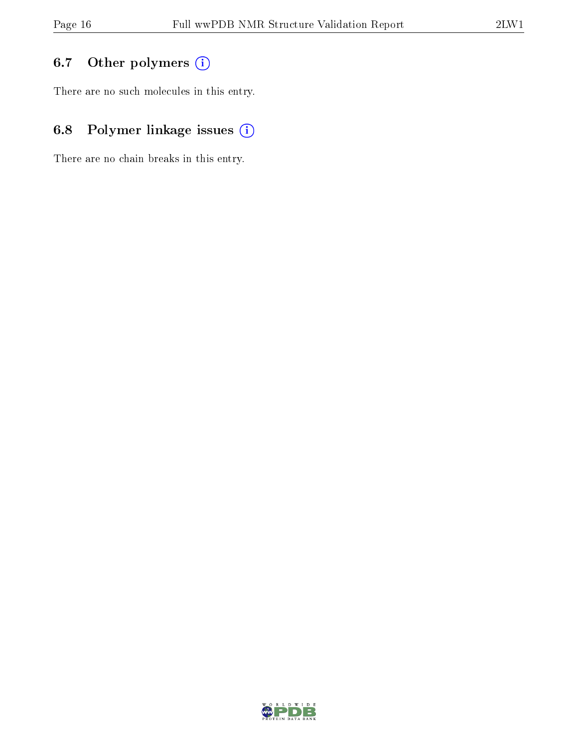### 6.7 [O](https://www.wwpdb.org/validation/2017/NMRValidationReportHelp#nonstandard_residues_and_ligands)ther polymers (i)

There are no such molecules in this entry.

### 6.8 Polymer linkage issues (i)

There are no chain breaks in this entry.

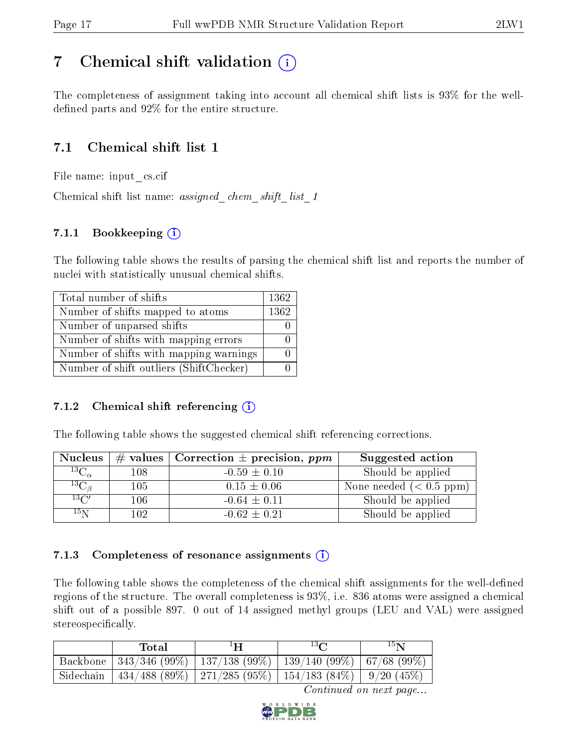# <span id="page-16-0"></span>7 Chemical shift validation  $\left( \begin{array}{c} \overline{\phantom{a}} \\ \overline{\phantom{a}} \end{array} \right)$

The completeness of assignment taking into account all chemical shift lists is 93% for the welldefined parts and  $92\%$  for the entire structure.

### 7.1 Chemical shift list 1

File name: input\_cs.cif

Chemical shift list name: assigned chem shift list 1

### 7.1.1 Bookkeeping (i)

The following table shows the results of parsing the chemical shift list and reports the number of nuclei with statistically unusual chemical shifts.

| Total number of shifts                  | 1362 |
|-----------------------------------------|------|
| Number of shifts mapped to atoms        | 1362 |
| Number of unparsed shifts               |      |
| Number of shifts with mapping errors    |      |
| Number of shifts with mapping warnings  |      |
| Number of shift outliers (ShiftChecker) |      |

#### 7.1.2 Chemical shift referencing  $(i)$

The following table shows the suggested chemical shift referencing corrections.

| <b>Nucleus</b>      |      | # values   Correction $\pm$ precision, ppm | Suggested action        |
|---------------------|------|--------------------------------------------|-------------------------|
| ${}^{13}C_{\alpha}$ | 108  | $-0.59 \pm 0.10$                           | Should be applied       |
| ${}^{13}C_{\beta}$  | 105  | $0.15 \pm 0.06$                            | None needed $(0.5 ppm)$ |
| $13\text{C}$        | 106  | $-0.64 \pm 0.11$                           | Should be applied       |
| $15\,\mathrm{N}$    | 102. | $-0.62 \pm 0.21$                           | Should be applied       |

#### 7.1.3 Completeness of resonance assignments  $(i)$

The following table shows the completeness of the chemical shift assignments for the well-defined regions of the structure. The overall completeness is 93%, i.e. 836 atoms were assigned a chemical shift out of a possible 897. 0 out of 14 assigned methyl groups (LEU and VAL) were assigned stereospecifically.

| Total | ŀН                                                                     | $13\Omega$ | 15 <sub>N</sub> |
|-------|------------------------------------------------------------------------|------------|-----------------|
|       | Backbone   343/346 (99%)   137/138 (99%)   139/140 (99%)   67/68 (99%) |            |                 |
|       | Sidechain   434/488 (89%)   271/285 (95%)   154/183 (84%)   9/20 (45%) |            |                 |

Continued on next page...